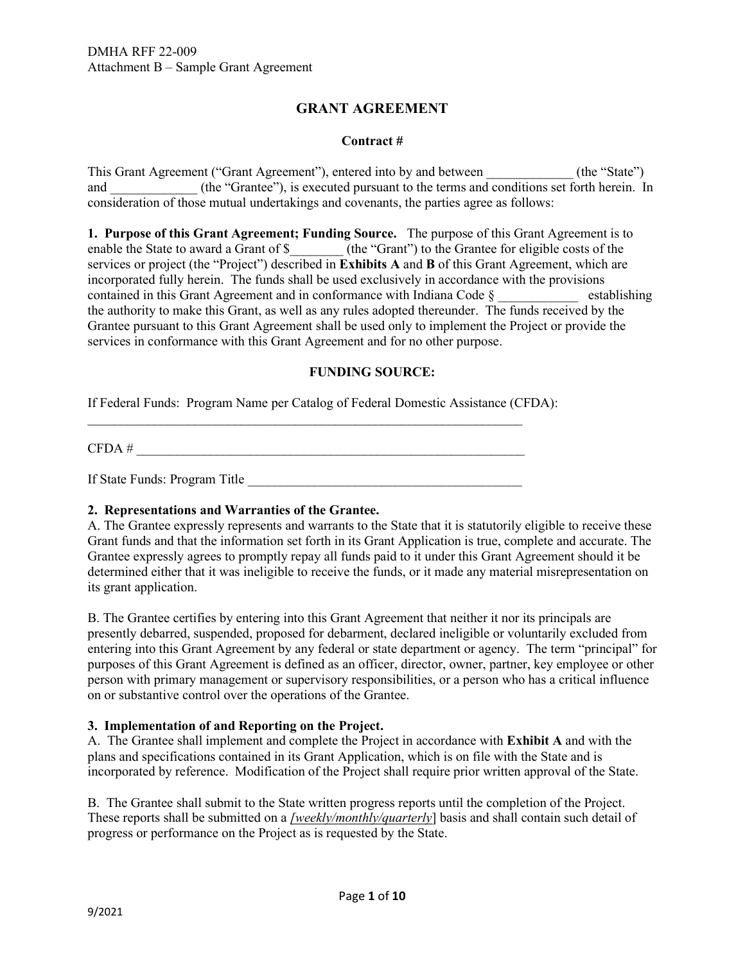# **GRANT AGREEMENT**

## **Contract #**

i. This Grant Agreement ("Grant Agreement"), entered into by and between \_\_\_\_\_\_\_\_\_\_\_\_\_ (the "State") and \_\_\_\_\_\_\_\_\_\_\_\_\_\_ (the "Grantee"), is executed pursuant to the terms and conditions set forth herein. In consideration of those mutual undertakings and covenants, the parties agree as follows:

 **1. Purpose of this Grant Agreement; Funding Source.** The purpose of this Grant Agreement is to establishing the authority to make this Grant, as well as any rules adopted thereunder. The funds received by the Grantee pursuant to this Grant Agreement shall be used only to implement the Project or provide the \_\_\_\_\_\_\_\_\_\_\_\_\_\_\_\_\_\_\_\_\_\_\_\_\_\_\_\_\_\_\_\_\_\_\_\_\_\_\_\_\_\_\_\_\_\_\_\_\_\_\_\_\_\_\_\_\_\_\_\_\_\_\_\_\_ DMHA RFF 22-009 enable the State to award a Grant of \$ (the "Grant") to the Grantee for eligible costs of the services or project (the "Project") described in **Exhibits A** and **B** of this Grant Agreement, which are incorporated fully herein. The funds shall be used exclusively in accordance with the provisions contained in this Grant Agreement and in conformance with Indiana Code  $\S$ services in conformance with this Grant Agreement and for no other purpose.

## **FUNDING SOURCE:**

If Federal Funds: Program Name per Catalog of Federal Domestic Assistance (CFDA):

 $CFDA \#$ 

If State Funds: Program Title \_\_\_\_\_\_\_\_\_\_\_\_\_\_\_\_\_\_\_\_\_\_\_\_\_\_\_\_\_\_\_\_\_\_\_\_\_\_\_\_\_

## **2. Representations and Warranties of the Grantee.**

 determined either that it was ineligible to receive the funds, or it made any material misrepresentation on A. The Grantee expressly represents and warrants to the State that it is statutorily eligible to receive these Grant funds and that the information set forth in its Grant Application is true, complete and accurate. The Grantee expressly agrees to promptly repay all funds paid to it under this Grant Agreement should it be its grant application.

 entering into this Grant Agreement by any federal or state department or agency. The term "principal" for on or substantive control over the operations of the Grantee. B. The Grantee certifies by entering into this Grant Agreement that neither it nor its principals are presently debarred, suspended, proposed for debarment, declared ineligible or voluntarily excluded from purposes of this Grant Agreement is defined as an officer, director, owner, partner, key employee or other person with primary management or supervisory responsibilities, or a person who has a critical influence

## **3. Implementation of and Reporting on the Project.**

 A. The Grantee shall implement and complete the Project in accordance with **Exhibit A** and with the incorporated by reference. Modification of the Project shall require prior written approval of the State. plans and specifications contained in its Grant Application, which is on file with the State and is

 These reports shall be submitted on a *[weekly/monthly/quarterly*] basis and shall contain such detail of progress or performance on the Project as is requested by the State. B. The Grantee shall submit to the State written progress reports until the completion of the Project.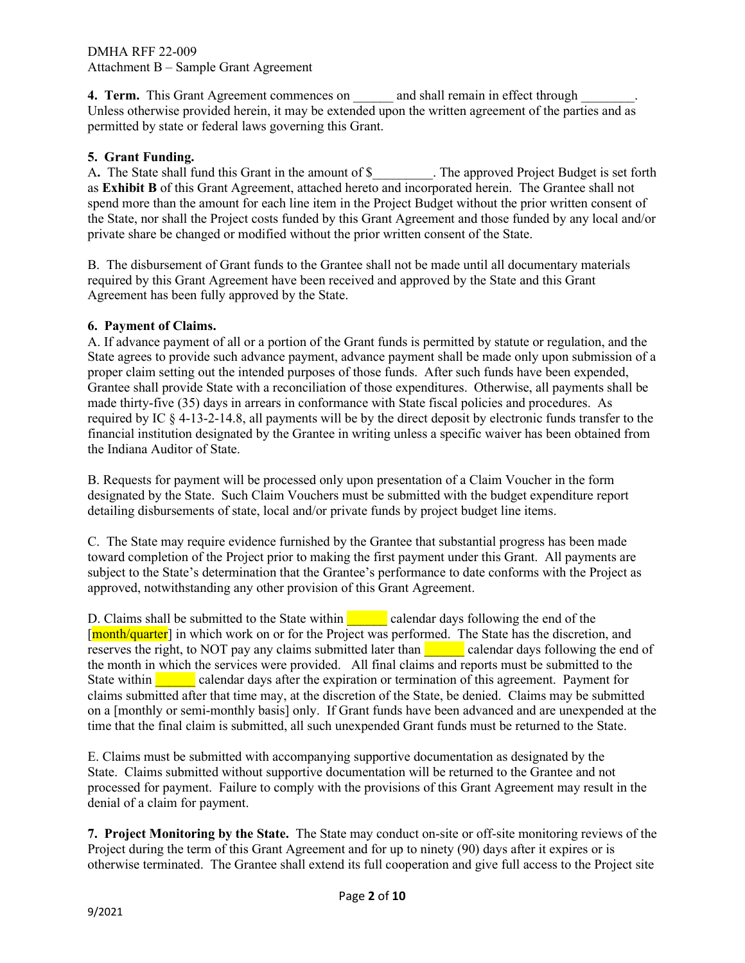permitted by state or federal laws governing this Grant. **4. Term.** This Grant Agreement commences on \_\_\_\_\_\_ and shall remain in effect through \_\_\_\_\_\_\_\_. Unless otherwise provided herein, it may be extended upon the written agreement of the parties and as 4. Term. This Grant Agreement commences on \_\_\_\_\_\_<br>Unless otherwise provided herein, it may be extended upon permitted by state or federal laws governing this Grant.

# **5. Grant Funding.**

Ì spend more than the amount for each line item in the Project Budget without the prior written consent of private share be changed or modified without the prior written consent of the State. A**.** The State shall fund this Grant in the amount of \$\_\_\_\_\_\_\_\_\_. The approved Project Budget is set forth as **Exhibit B** of this Grant Agreement, attached hereto and incorporated herein. The Grantee shall not the State, nor shall the Project costs funded by this Grant Agreement and those funded by any local and/or

 B. The disbursement of Grant funds to the Grantee shall not be made until all documentary materials required by this Grant Agreement have been received and approved by the State and this Grant Agreement has been fully approved by the State.

## **6. Payment of Claims.**

 proper claim setting out the intended purposes of those funds. After such funds have been expended, Grantee shall provide State with a reconciliation of those expenditures. Otherwise, all payments shall be made thirty-five (35) days in arrears in conformance with State fiscal policies and procedures. As required by IC § 4-13-2-14.8, all payments will be by the direct deposit by electronic funds transfer to the financial institution designated by the Grantee in writing unless a specific waiver has been obtained from A. If advance payment of all or a portion of the Grant funds is permitted by statute or regulation, and the State agrees to provide such advance payment, advance payment shall be made only upon submission of a the Indiana Auditor of State.

 B. Requests for payment will be processed only upon presentation of a Claim Voucher in the form detailing disbursements of state, local and/or private funds by project budget line items. designated by the State. Such Claim Vouchers must be submitted with the budget expenditure report

 C. The State may require evidence furnished by the Grantee that substantial progress has been made toward completion of the Project prior to making the first payment under this Grant. All payments are subject to the State's determination that the Grantee's performance to date conforms with the Project as approved, notwithstanding any other provision of this Grant Agreement.

D. Claims shall be submitted to the State within **Lefturn Collection** calendar days following the end of the reserves the right, to NOT pay any claims submitted later than **the calentary** calendar days following the end of time that the final claim is submitted, all such unexpended Grant funds must be returned to the State. [month/quarter] in which work on or for the Project was performed. The State has the discretion, and the month in which the services were provided. All final claims and reports must be submitted to the State within \_\_\_\_\_\_ calendar days after the expiration or termination of this agreement. Payment for claims submitted after that time may, at the discretion of the State, be denied. Claims may be submitted on a [monthly or semi-monthly basis] only. If Grant funds have been advanced and are unexpended at the

 processed for payment. Failure to comply with the provisions of this Grant Agreement may result in the E. Claims must be submitted with accompanying supportive documentation as designated by the State. Claims submitted without supportive documentation will be returned to the Grantee and not denial of a claim for payment.

 Project during the term of this Grant Agreement and for up to ninety (90) days after it expires or is **7. Project Monitoring by the State.** The State may conduct on-site or off-site monitoring reviews of the otherwise terminated. The Grantee shall extend its full cooperation and give full access to the Project site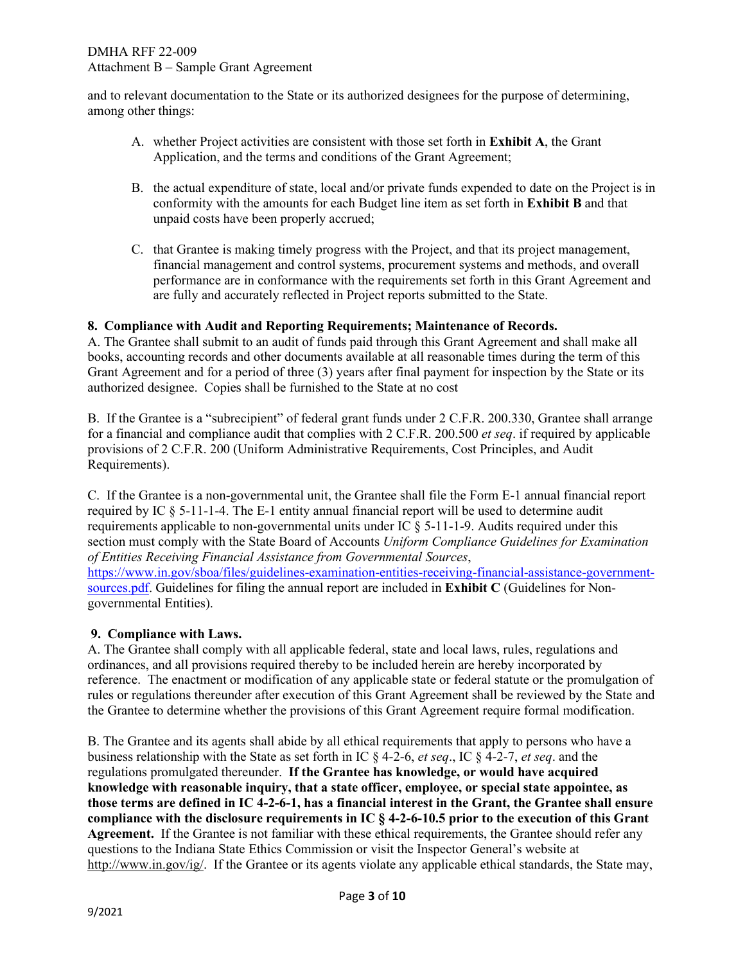and to relevant documentation to the State or its authorized designees for the purpose of determining, among other things:

- A. whether Project activities are consistent with those set forth in **Exhibit A**, the Grant Application, and the terms and conditions of the Grant Agreement;
- B. the actual expenditure of state, local and/or private funds expended to date on the Project is in conformity with the amounts for each Budget line item as set forth in **Exhibit B** and that unpaid costs have been properly accrued;
- performance are in conformance with the requirements set forth in this Grant Agreement and are fully and accurately reflected in Project reports submitted to the State. C. that Grantee is making timely progress with the Project, and that its project management, financial management and control systems, procurement systems and methods, and overall

## **8. Compliance with Audit and Reporting Requirements; Maintenance of Records.**

 A. The Grantee shall submit to an audit of funds paid through this Grant Agreement and shall make all books, accounting records and other documents available at all reasonable times during the term of this Grant Agreement and for a period of three (3) years after final payment for inspection by the State or its authorized designee. Copies shall be furnished to the State at no cost

B. If the Grantee is a "subrecipient" of federal grant funds under 2 C.F.R. 200.330, Grantee shall arrange for a financial and compliance audit that complies with 2 C.F.R. 200.500 *et seq*. if required by applicable provisions of 2 C.F.R. 200 (Uniform Administrative Requirements, Cost Principles, and Audit Requirements).

 C. If the Grantee is a non-governmental unit, the Grantee shall file the Form E-1 annual financial report required by IC § 5-11-1-4. The E-1 entity annual financial report will be used to determine audit requirements applicable to non-governmental units under IC  $\S$  5-11-1-9. Audits required under this section must comply with the State Board of Accounts *Uniform Compliance Guidelines for Examination of Entities Receiving Financial Assistance from Governmental Sources*, [https://www.in.gov/sboa/files/guidelines-examination-entities-receiving-financial-assistance-government](https://www.in.gov/sboa/files/guidelines-examination-entities-receiving-financial-assistance-government-sources.pdf)[sources.pdf.](https://www.in.gov/sboa/files/guidelines-examination-entities-receiving-financial-assistance-government-sources.pdf) Guidelines for filing the annual report are included in **Exhibit C** (Guidelines for Nongovernmental Entities).

## **9. Compliance with Laws.**

 reference. The enactment or modification of any applicable state or federal statute or the promulgation of A. The Grantee shall comply with all applicable federal, state and local laws, rules, regulations and ordinances, and all provisions required thereby to be included herein are hereby incorporated by rules or regulations thereunder after execution of this Grant Agreement shall be reviewed by the State and the Grantee to determine whether the provisions of this Grant Agreement require formal modification.

 B. The Grantee and its agents shall abide by all ethical requirements that apply to persons who have a business relationship with the State as set forth in IC § 4-2-6, *et seq*., IC § 4-2-7, *et seq*. and the regulations promulgated thereunder. **If the Grantee has knowledge, or would have acquired those terms are defined in IC 4-2-6-1, has a financial interest in the Grant, the Grantee shall ensure knowledge with reasonable inquiry, that a state officer, employee, or special state appointee, as compliance with the disclosure requirements in IC § 4-2-6-10.5 prior to the execution of this Grant Agreement.** If the Grantee is not familiar with these ethical requirements, the Grantee should refer any questions to the Indiana State Ethics Commission or visit the Inspector General's website at [http://www.in.gov/i](http://www.in.gov/ig)[g/.](http://www.in.gov/ig/) If the Grantee or its agents violate any applicable ethical standards, the State may,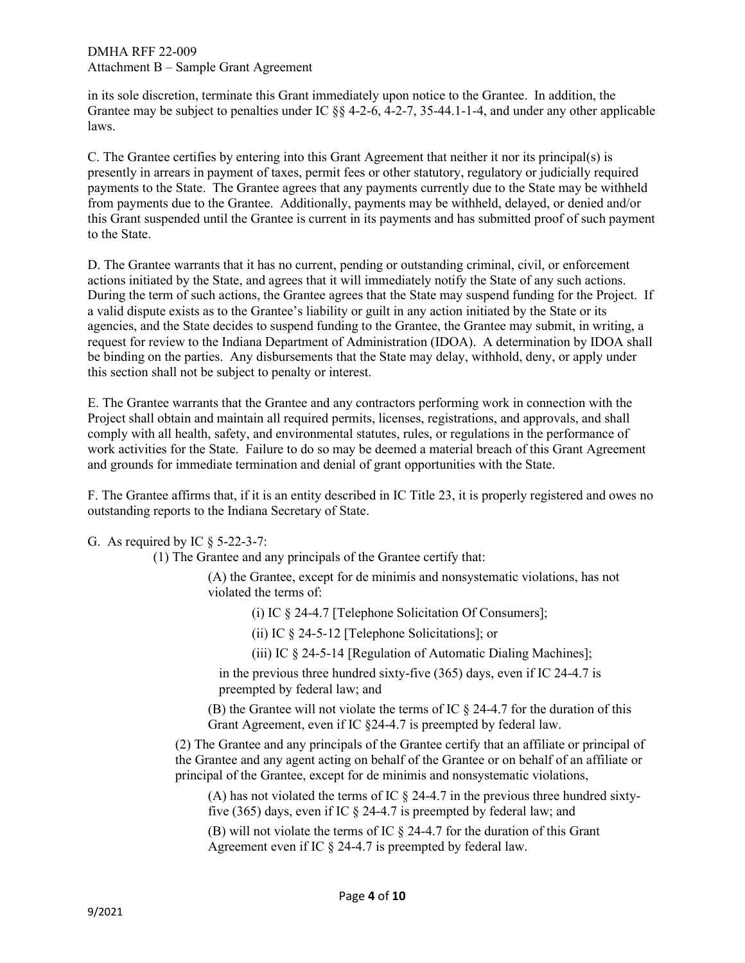in its sole discretion, terminate this Grant immediately upon notice to the Grantee. In addition, the Grantee may be subject to penalties under IC §§ 4-2-6, 4-2-7, 35-44.1-1-4, and under any other applicable laws.

 presently in arrears in payment of taxes, permit fees or other statutory, regulatory or judicially required payments to the State. The Grantee agrees that any payments currently due to the State may be withheld from payments due to the Grantee. Additionally, payments may be withheld, delayed, or denied and/or C. The Grantee certifies by entering into this Grant Agreement that neither it nor its principal(s) is this Grant suspended until the Grantee is current in its payments and has submitted proof of such payment to the State.

 actions initiated by the State, and agrees that it will immediately notify the State of any such actions. a valid dispute exists as to the Grantee's liability or guilt in any action initiated by the State or its request for review to the Indiana Department of Administration (IDOA). A determination by IDOA shall be binding on the parties. Any disbursements that the State may delay, withhold, deny, or apply under D. The Grantee warrants that it has no current, pending or outstanding criminal, civil, or enforcement During the term of such actions, the Grantee agrees that the State may suspend funding for the Project. If agencies, and the State decides to suspend funding to the Grantee, the Grantee may submit, in writing, a this section shall not be subject to penalty or interest.

 work activities for the State. Failure to do so may be deemed a material breach of this Grant Agreement E. The Grantee warrants that the Grantee and any contractors performing work in connection with the Project shall obtain and maintain all required permits, licenses, registrations, and approvals, and shall comply with all health, safety, and environmental statutes, rules, or regulations in the performance of and grounds for immediate termination and denial of grant opportunities with the State.

 F. The Grantee affirms that, if it is an entity described in IC Title 23, it is properly registered and owes no outstanding reports to the Indiana Secretary of State.

G. As required by IC  $\S$  5-22-3-7:

(1) The Grantee and any principals of the Grantee certify that:

(A) the Grantee, except for de minimis and nonsystematic violations, has not violated the terms of:

(i) IC § 24-4.7 [Telephone Solicitation Of Consumers];

(ii) IC § 24-5-12 [Telephone Solicitations]; or

(iii) IC  $\&$  24-5-14 [Regulation of Automatic Dialing Machines];

in the previous three hundred sixty-five  $(365)$  days, even if IC 24-4.7 is preempted by federal law; and

(B) the Grantee will not violate the terms of IC  $\S$  24-4.7 for the duration of this Grant Agreement, even if IC §24-4.7 is preempted by federal law.

(2) The Grantee and any principals of the Grantee certify that an affiliate or principal of the Grantee and any agent acting on behalf of the Grantee or on behalf of an affiliate or principal of the Grantee, except for de minimis and nonsystematic violations,

 five (365) days, even if IC § 24-4.7 is preempted by federal law; and (A) has not violated the terms of IC  $\S$  24-4.7 in the previous three hundred sixty-

(B) will not violate the terms of IC  $\S$  24-4.7 for the duration of this Grant Agreement even if IC § 24-4.7 is preempted by federal law.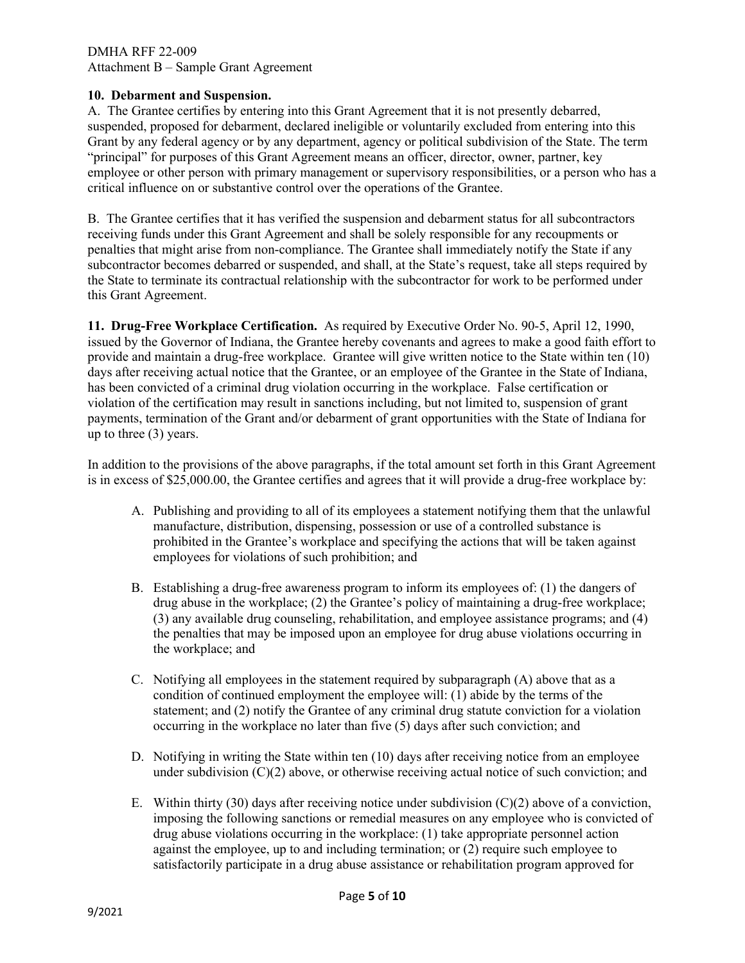#### **10. Debarment and Suspension.**

 A. The Grantee certifies by entering into this Grant Agreement that it is not presently debarred, Grant by any federal agency or by any department, agency or political subdivision of the State. The term critical influence on or substantive control over the operations of the Grantee. suspended, proposed for debarment, declared ineligible or voluntarily excluded from entering into this "principal" for purposes of this Grant Agreement means an officer, director, owner, partner, key employee or other person with primary management or supervisory responsibilities, or a person who has a

 B. The Grantee certifies that it has verified the suspension and debarment status for all subcontractors receiving funds under this Grant Agreement and shall be solely responsible for any recoupments or penalties that might arise from non-compliance. The Grantee shall immediately notify the State if any subcontractor becomes debarred or suspended, and shall, at the State's request, take all steps required by the State to terminate its contractual relationship with the subcontractor for work to be performed under this Grant Agreement.

 issued by the Governor of Indiana, the Grantee hereby covenants and agrees to make a good faith effort to provide and maintain a drug-free workplace. Grantee will give written notice to the State within ten (10) days after receiving actual notice that the Grantee, or an employee of the Grantee in the State of Indiana, violation of the certification may result in sanctions including, but not limited to, suspension of grant payments, termination of the Grant and/or debarment of grant opportunities with the State of Indiana for **11. Drug-Free Workplace Certification.** As required by Executive Order No. 90-5, April 12, 1990, has been convicted of a criminal drug violation occurring in the workplace. False certification or up to three (3) years.

 In addition to the provisions of the above paragraphs, if the total amount set forth in this Grant Agreement is in excess of [\\$25,000.00](https://25,000.00), the Grantee certifies and agrees that it will provide a drug-free workplace by:

- A. Publishing and providing to all of its employees a statement notifying them that the unlawful manufacture, distribution, dispensing, possession or use of a controlled substance is prohibited in the Grantee's workplace and specifying the actions that will be taken against employees for violations of such prohibition; and
- B. Establishing a drug-free awareness program to inform its employees of: (1) the dangers of the penalties that may be imposed upon an employee for drug abuse violations occurring in drug abuse in the workplace; (2) the Grantee's policy of maintaining a drug-free workplace; (3) any available drug counseling, rehabilitation, and employee assistance programs; and (4) the workplace; and
- condition of continued employment the employee will: (1) abide by the terms of the C. Notifying all employees in the statement required by subparagraph (A) above that as a statement; and (2) notify the Grantee of any criminal drug statute conviction for a violation occurring in the workplace no later than five (5) days after such conviction; and
- D. Notifying in writing the State within ten (10) days after receiving notice from an employee under subdivision  $(C)(2)$  above, or otherwise receiving actual notice of such conviction; and
- imposing the following sanctions or remedial measures on any employee who is convicted of drug abuse violations occurring in the workplace: (1) take appropriate personnel action against the employee, up to and including termination; or (2) require such employee to E. Within thirty (30) days after receiving notice under subdivision  $(C)(2)$  above of a conviction, satisfactorily participate in a drug abuse assistance or rehabilitation program approved for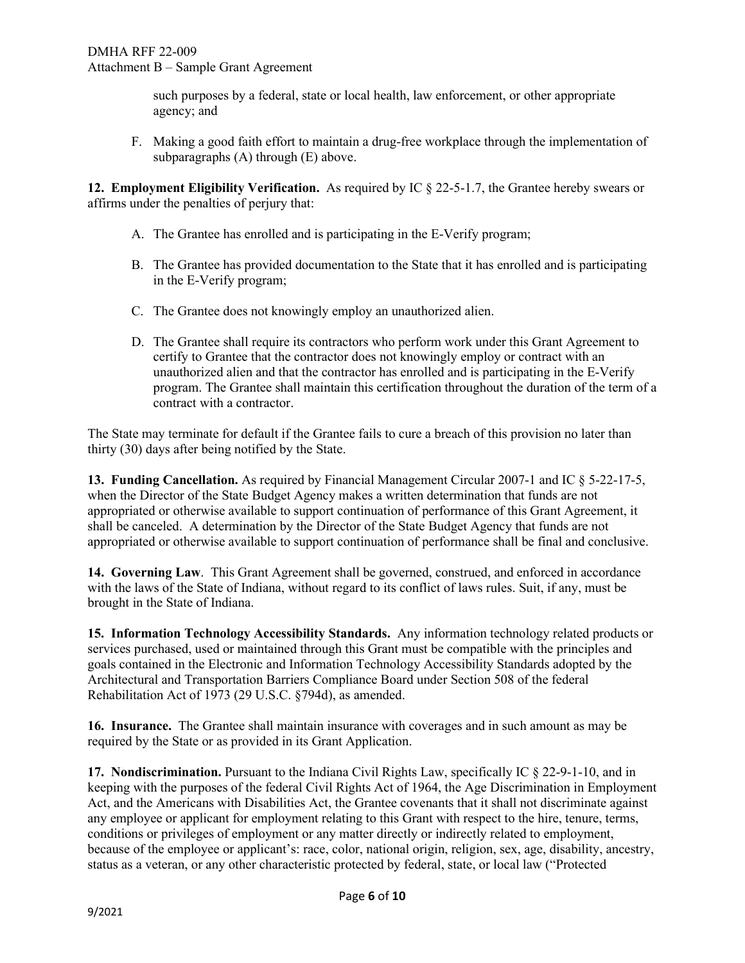such purposes by a federal, state or local health, law enforcement, or other appropriate agency; and

F. Making a good faith effort to maintain a drug-free workplace through the implementation of subparagraphs (A) through (E) above.

 affirms under the penalties of perjury that: **12. Employment Eligibility Verification.** As required by IC § 22-5-1.7, the Grantee hereby swears or

- A. The Grantee has enrolled and is participating in the E-Verify program;
- B. The Grantee has provided documentation to the State that it has enrolled and is participating in the E-Verify program;
- C. The Grantee does not knowingly employ an unauthorized alien.
- D. The Grantee shall require its contractors who perform work under this Grant Agreement to certify to Grantee that the contractor does not knowingly employ or contract with an unauthorized alien and that the contractor has enrolled and is participating in the E-Verify program. The Grantee shall maintain this certification throughout the duration of the term of a contract with a contractor.

 The State may terminate for default if the Grantee fails to cure a breach of this provision no later than thirty (30) days after being notified by the State.

 when the Director of the State Budget Agency makes a written determination that funds are not shall be canceled. A determination by the Director of the State Budget Agency that funds are not **13. Funding Cancellation.** As required by Financial Management Circular 2007-1 and IC § 5-22-17-5, appropriated or otherwise available to support continuation of performance of this Grant Agreement, it appropriated or otherwise available to support continuation of performance shall be final and conclusive.

 **14. Governing Law**. This Grant Agreement shall be governed, construed, and enforced in accordance with the laws of the State of Indiana, without regard to its conflict of laws rules. Suit, if any, must be brought in the State of Indiana.

 **15. Information Technology Accessibility Standards.** Any information technology related products or services purchased, used or maintained through this Grant must be compatible with the principles and Architectural and Transportation Barriers Compliance Board under Section 508 of the federal goals contained in the Electronic and Information Technology Accessibility Standards adopted by the Rehabilitation Act of 1973 (29 U.S.C. §794d), as amended.

 **16. Insurance.** The Grantee shall maintain insurance with coverages and in such amount as may be required by the State or as provided in its Grant Application.

 keeping with the purposes of the federal Civil Rights Act of 1964, the Age Discrimination in Employment Act, and the Americans with Disabilities Act, the Grantee covenants that it shall not discriminate against conditions or privileges of employment or any matter directly or indirectly related to employment, status as a veteran, or any other characteristic protected by federal, state, or local law ("Protected **17. Nondiscrimination.** Pursuant to the Indiana Civil Rights Law, specifically IC § 22-9-1-10, and in any employee or applicant for employment relating to this Grant with respect to the hire, tenure, terms, because of the employee or applicant's: race, color, national origin, religion, sex, age, disability, ancestry,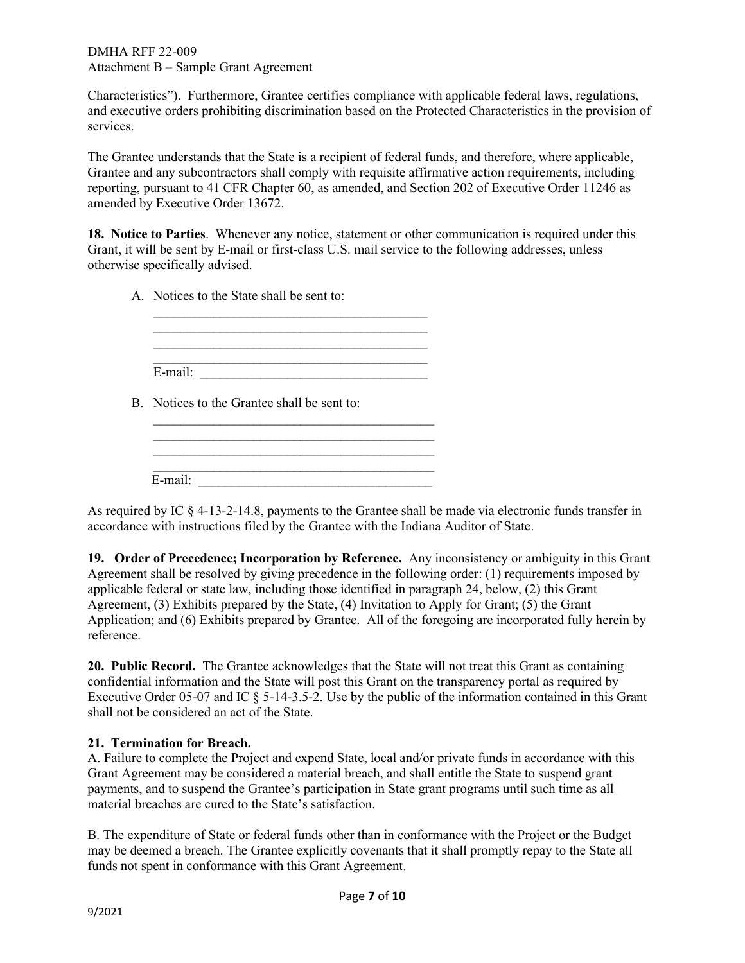services Characteristics"). Furthermore, Grantee certifies compliance with applicable federal laws, regulations, and executive orders prohibiting discrimination based on the Protected Characteristics in the provision of

The Grantee understands that the State is a recipient of federal funds, and therefore, where applicable, Grantee and any subcontractors shall comply with requisite affirmative action requirements, including reporting, pursuant to 41 CFR Chapter 60, as amended, and Section 202 of Executive Order 11246 as amended by Executive Order 13672.

 **18. Notice to Parties**. Whenever any notice, statement or other communication is required under this Grant, it will be sent by E-mail or first-class U.S. mail service to the following addresses, unless otherwise specifically advised.

A. Notices to the State shall be sent to:

| E-mail: |  |  |  |
|---------|--|--|--|
|         |  |  |  |

B. Notices to the Grantee shall be sent to:

| E-mail: |  |  |  |
|---------|--|--|--|

 $\mathcal{L}_\text{max}$  , and the set of the set of the set of the set of the set of the set of the set of the set of the set of the set of the set of the set of the set of the set of the set of the set of the set of the set of the

As required by IC § 4-13-2-14.8, payments to the Grantee shall be made via electronic funds transfer in accordance with instructions filed by the Grantee with the Indiana Auditor of State.

 **19. Order of Precedence; Incorporation by Reference.** Any inconsistency or ambiguity in this Grant applicable federal or state law, including those identified in paragraph 24, below, (2) this Grant Agreement, (3) Exhibits prepared by the State, (4) Invitation to Apply for Grant; (5) the Grant Agreement shall be resolved by giving precedence in the following order: (1) requirements imposed by Application; and (6) Exhibits prepared by Grantee. All of the foregoing are incorporated fully herein by reference.

 **20. Public Record.** The Grantee acknowledges that the State will not treat this Grant as containing Executive Order 05-07 and IC § 5-14-3.5-2. Use by the public of the information contained in this Grant confidential information and the State will post this Grant on the transparency portal as required by shall not be considered an act of the State.

# **21. Termination for Breach.**

 A. Failure to complete the Project and expend State, local and/or private funds in accordance with this Grant Agreement may be considered a material breach, and shall entitle the State to suspend grant payments, and to suspend the Grantee's participation in State grant programs until such time as all material breaches are cured to the State's satisfaction.

 may be deemed a breach. The Grantee explicitly covenants that it shall promptly repay to the State all funds not spent in conformance with this Grant Agreement. B. The expenditure of State or federal funds other than in conformance with the Project or the Budget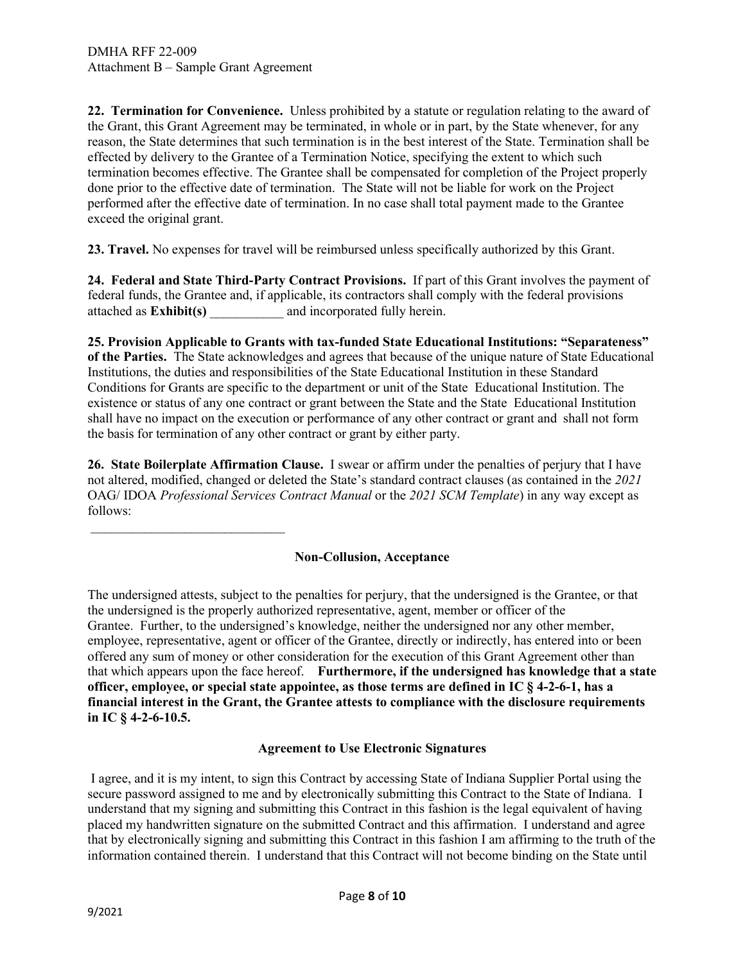$\overline{\phantom{a}}$  , we can assume that the contract of the contract of  $\overline{\phantom{a}}$ 

 effected by delivery to the Grantee of a Termination Notice, specifying the extent to which such done prior to the effective date of termination. The State will not be liable for work on the Project performed after the effective date of termination. In no case shall total payment made to the Grantee **22. Termination for Convenience.** Unless prohibited by a statute or regulation relating to the award of the Grant, this Grant Agreement may be terminated, in whole or in part, by the State whenever, for any reason, the State determines that such termination is in the best interest of the State. Termination shall be termination becomes effective. The Grantee shall be compensated for completion of the Project properly exceed the original grant.

**23. Travel.** No expenses for travel will be reimbursed unless specifically authorized by this Grant.

 **24. Federal and State Third-Party Contract Provisions.** If part of this Grant involves the payment of federal funds, the Grantee and, if applicable, its contractors shall comply with the federal provisions attached as **Exhibit(s)** \_\_\_\_\_\_\_\_\_\_\_ and incorporated fully herein.

 **of the Parties.** The State acknowledges and agrees that because of the unique nature of State Educational Conditions for Grants are specific to the department or unit of the State Educational Institution. The existence or status of any one contract or grant between the State and the State Educational Institution shall have no impact on the execution or performance of any other contract or grant and shall not form the basis for termination of any other contract or grant by either party. **25. Provision Applicable to Grants with tax-funded State Educational Institutions: "Separateness"**  Institutions, the duties and responsibilities of the State Educational Institution in these Standard

 **26. State Boilerplate Affirmation Clause.** I swear or affirm under the penalties of perjury that I have not altered, modified, changed or deleted the State's standard contract clauses (as contained in the *2021*  OAG/ IDOA *Professional Services Contract Manual* or the *2021 SCM Template*) in any way except as follows:

## **Non-Collusion, Acceptance**

 The undersigned attests, subject to the penalties for perjury, that the undersigned is the Grantee, or that the undersigned is the properly authorized representative, agent, member or officer of the Grantee. Further, to the undersigned's knowledge, neither the undersigned nor any other member, offered any sum of money or other consideration for the execution of this Grant Agreement other than that which appears upon the face hereof. **Furthermore, if the undersigned has knowledge that a state officer, employee, or special state appointee, as those terms are defined in IC § 4-2-6-1, has a financial interest in the Grant, the Grantee attests to compliance with the disclosure requirements**  employee, representative, agent or officer of the Grantee, directly or indirectly, has entered into or been **in IC § 4-2-6-10.5.** 

## **Agreement to Use Electronic Signatures**

 I agree, and it is my intent, to sign this Contract by accessing State of Indiana Supplier Portal using the understand that my signing and submitting this Contract in this fashion is the legal equivalent of having that by electronically signing and submitting this Contract in this fashion I am affirming to the truth of the information contained therein. I understand that this Contract will not become binding on the State until secure password assigned to me and by electronically submitting this Contract to the State of Indiana. I placed my handwritten signature on the submitted Contract and this affirmation. I understand and agree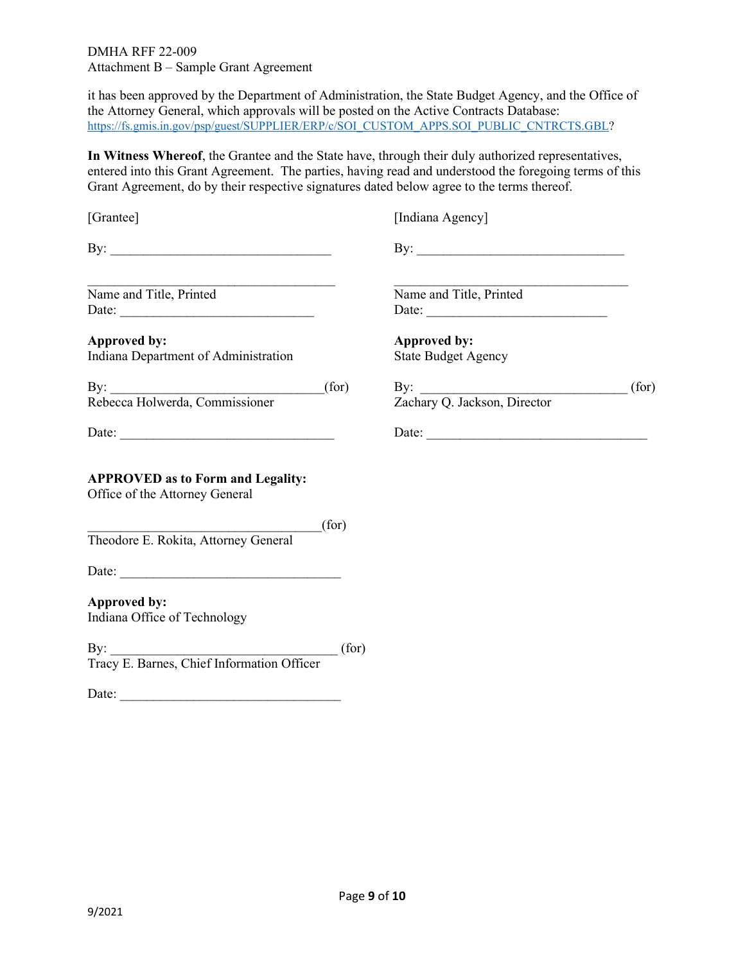it has been approved by the Department of Administration, the State Budget Agency, and the Office of the Attorney General, which approvals will be posted on the Active Contracts Database: [https://fs.gmis.in.gov/psp/guest/SUPPLIER/ERP/c/SOI\\_CUSTOM\\_APPS.SOI\\_PUBLIC\\_CNTRCTS.GBL?](https://fs.gmis.in.gov/psp/guest/SUPPLIER/ERP/c/SOI_CUSTOM_APPS.SOI_PUBLIC_CNTRCTS.GBL)

 entered into this Grant Agreement. The parties, having read and understood the foregoing terms of this Grant Agreement, do by their respective signatures dated below agree to the terms thereof. **In Witness Whereof**, the Grantee and the State have, through their duly authorized representatives,

| [Grantee]                                                                                                                                                                                                                                                                                                                                                                                                              | [Indiana Agency]                                                        |      |
|------------------------------------------------------------------------------------------------------------------------------------------------------------------------------------------------------------------------------------------------------------------------------------------------------------------------------------------------------------------------------------------------------------------------|-------------------------------------------------------------------------|------|
| By: $\qquad \qquad$                                                                                                                                                                                                                                                                                                                                                                                                    | By: $\qquad \qquad$                                                     |      |
| Name and Title, Printed                                                                                                                                                                                                                                                                                                                                                                                                | the control of the control of the control of<br>Name and Title, Printed |      |
| <b>Approved by:</b><br>Indiana Department of Administration                                                                                                                                                                                                                                                                                                                                                            | Approved by:<br><b>State Budget Agency</b>                              |      |
|                                                                                                                                                                                                                                                                                                                                                                                                                        | By: Zachary Q. Jackson, Director                                        | for) |
|                                                                                                                                                                                                                                                                                                                                                                                                                        | Date:                                                                   |      |
| <b>APPROVED as to Form and Legality:</b><br>Office of the Attorney General                                                                                                                                                                                                                                                                                                                                             |                                                                         |      |
| $f(\text{for})$<br>Theodore E. Rokita, Attorney General                                                                                                                                                                                                                                                                                                                                                                |                                                                         |      |
|                                                                                                                                                                                                                                                                                                                                                                                                                        |                                                                         |      |
| Approved by:<br>Indiana Office of Technology                                                                                                                                                                                                                                                                                                                                                                           |                                                                         |      |
| By: [for ]<br>Tracy E. Barnes, Chief Information Officer                                                                                                                                                                                                                                                                                                                                                               |                                                                         |      |
| Date: $\frac{1}{\sqrt{1-\frac{1}{2}}}\left\{ \frac{1}{2}, \frac{1}{2}, \frac{1}{2}, \frac{1}{2}, \frac{1}{2}, \frac{1}{2}, \frac{1}{2}, \frac{1}{2}, \frac{1}{2}, \frac{1}{2}, \frac{1}{2}, \frac{1}{2}, \frac{1}{2}, \frac{1}{2}, \frac{1}{2}, \frac{1}{2}, \frac{1}{2}, \frac{1}{2}, \frac{1}{2}, \frac{1}{2}, \frac{1}{2}, \frac{1}{2}, \frac{1}{2}, \frac{1}{2}, \frac{1}{2}, \frac{1}{2}, \frac{1}{2}, \frac{1}{$ |                                                                         |      |